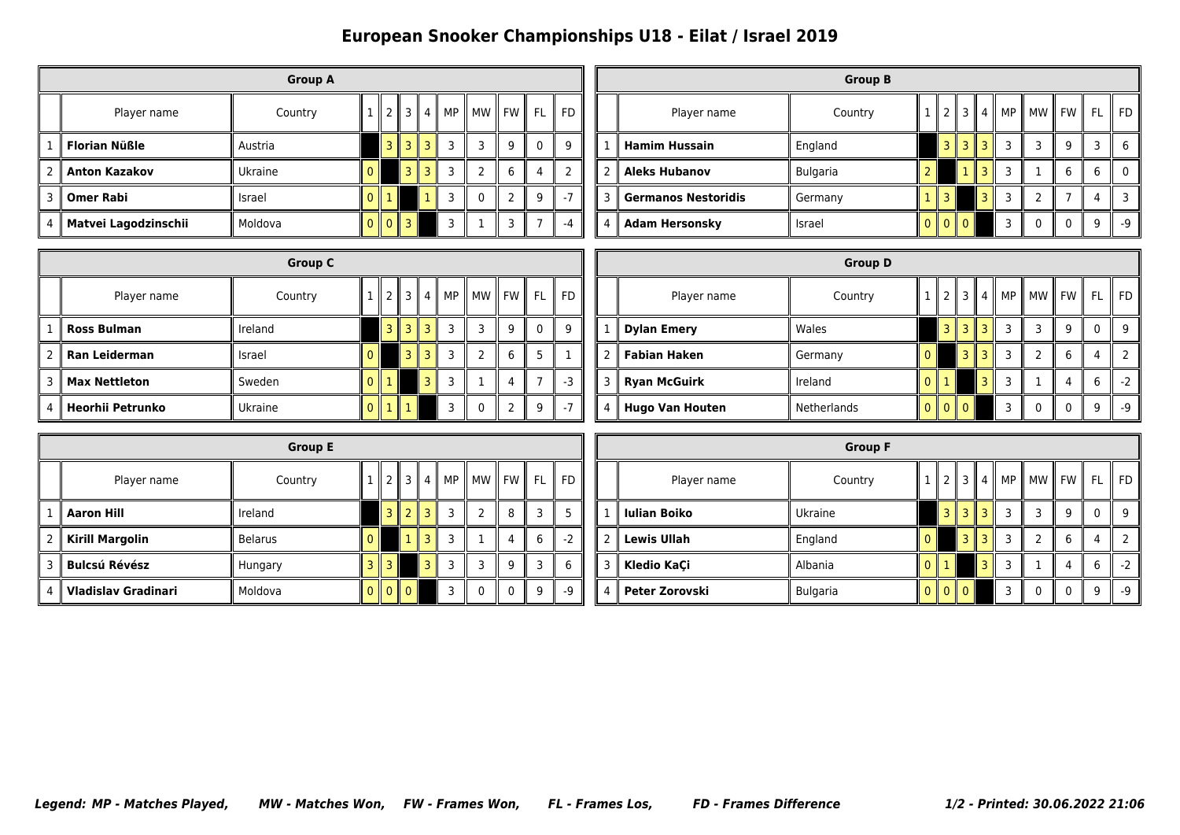## **European Snooker Championships U18 - Eilat / Israel 2019**

|   | <b>Group A</b>       |         |        |                |      |   |    |           |       |    |    |
|---|----------------------|---------|--------|----------------|------|---|----|-----------|-------|----|----|
|   | Player name          | Country |        | 2 <sub>1</sub> | 3 II | 4 | MP | <b>MW</b> | ll FW | FL | FD |
|   | <b>Florian Nüßle</b> | Austria |        |                | ₹    |   | 3  | 3         | 9     |    | Ω  |
| 2 | <b>Anton Kazakov</b> | Ukraine |        |                | 3 II |   | 3  | 2         | 6     | 4  |    |
| 3 | <b>Omer Rabi</b>     | Israel  |        |                |      |   | 3  | $\Omega$  | າ     | q  |    |
| 4 | Matvei Lagodzinschii | Moldova | 0<br>Ш | $\Omega$<br>Ш  | З    |   | ξ  |           | 3     |    |    |

|   |                            | <b>Group B</b>  |   |                 |   |    |           |      |    |    |
|---|----------------------------|-----------------|---|-----------------|---|----|-----------|------|----|----|
|   | Player name                | Country         |   |                 | 4 | MP | <b>MW</b> | I FW | FL | FD |
|   | <b>Hamim Hussain</b>       | England         |   | 3 II            | ٦ | 3  |           | q    | 3  | 6  |
| 2 | <b>Aleks Hubanov</b>       | <b>Bulgaria</b> |   |                 | っ | 3  |           | 6    | 6  |    |
| 3 | <b>Germanos Nestoridis</b> | Germany         |   | 3               | R | 3  | ำ         |      | 4  |    |
| 4 | <b>Adam Hersonsky</b>      | Israel          | 0 | $\overline{10}$ |   | 3  | 0         |      | q  | -q |

|   | <b>Group C</b>       |         |  |   |               |  |       |                |   |     |       |  |
|---|----------------------|---------|--|---|---------------|--|-------|----------------|---|-----|-------|--|
|   | Player name          | Country |  |   | $\parallel$ 3 |  | 4  MP | II MW II FW II |   | -FL | II FD |  |
|   | <b>Ross Bulman</b>   | Ireland |  | 3 |               |  | 3     | З              | 9 | 0   | q     |  |
| 2 | Ran Leiderman        | Israel  |  |   | ٦             |  | 3     | 7              | 6 |     |       |  |
| 3 | <b>Max Nettleton</b> | Sweden  |  |   |               |  | 3     |                | 4 |     |       |  |
| 4 | Heorhii Petrunko     | Ukraine |  |   |               |  |       | 0              |   | 9   |       |  |

|   |                        | <b>Group D</b> |                |                |   |    |                |           |    |      |
|---|------------------------|----------------|----------------|----------------|---|----|----------------|-----------|----|------|
|   | Player name            | Country        | $\mathcal{P}$  | 3 II           | 4 | MP | Ш<br><b>MW</b> | <b>FW</b> | FL | FD   |
|   | <b>Dylan Emery</b>     | Wales          | H              |                |   | 3  |                | 9         | 0  | 9    |
| 2 | <b>Fabian Haken</b>    | Germany        |                | 3              |   | 3  | 2              | 6         | 4  |      |
| 3 | <b>Ryan McGuirk</b>    | Ireland        |                |                |   | 3  |                | 4         | 6  | $-2$ |
| 4 | <b>Hugo Van Houten</b> | Netherlands    | $\mathsf{I}$ 0 | $\mathsf{I}$ 0 |   | 3  | 0              | $\Omega$  | q  | $-9$ |

|   | <b>Group E</b>             |                |  |                |                          |   |    |   |         |     |    |  |
|---|----------------------------|----------------|--|----------------|--------------------------|---|----|---|---------|-----|----|--|
|   | Player name                | Country        |  | $\overline{z}$ | 3                        | 4 | MP |   | MW FW I | FL. | FD |  |
|   | <b>Aaron Hill</b>          | Ireland        |  | 3<br>H         | $\overline{\phantom{a}}$ |   | 3  | 2 | 8       |     |    |  |
| 2 | <b>Kirill Margolin</b>     | <b>Belarus</b> |  |                | 1                        |   | 3  |   | 4       | 6   | -2 |  |
| 3 | <b>Bulcsú Révész</b>       | Hungary        |  |                |                          |   | 3  | 3 | 9       |     | 6  |  |
| 4 | <b>Vladislav Gradinari</b> | Moldova        |  | $\Omega$       | $\parallel 0$            |   | 3  | 0 | 0       | q   | -9 |  |

|   |                     | <b>Group F</b>  |          |     |                |   |    |       |              |              |      |
|---|---------------------|-----------------|----------|-----|----------------|---|----|-------|--------------|--------------|------|
|   | Player name         | Country         |          |     | 3 <sup>1</sup> | 4 | MP | II MW | II FW        | FL           | FD   |
| 1 | <b>Iulian Boiko</b> | Ukraine         |          | 3 I | 3 I            | 3 | 3  | 3     | 9            | $\mathbf{0}$ | 9    |
| 2 | <b>Lewis Ullah</b>  | England         | $\Omega$ |     | 3              | ₹ | 3  | 2     | 6            | 4            | っ    |
| 3 | Kledio KaÇi         | Albania         |          |     |                | ٦ | 3  |       | 4            | 6            | $-2$ |
| 4 | Peter Zorovski      | <b>Bulgaria</b> | $0$   0  |     | $\mathsf{I}$ 0 |   | 3  | 0     | $\mathbf{0}$ | q            | -9   |